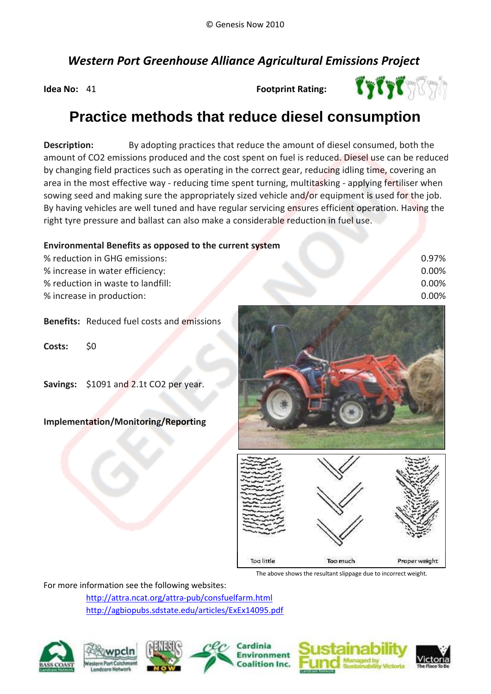# *Western Port Greenhouse Alliance Agricultural Emissions Project*

**Idea No:** 41

**Footprint Rating:**



# **Practice methods that reduce diesel consumption**

**Description:**  amount of CO2 emissions produced and the cost spent on fuel is reduced. Diesel use can be reduced By adopting practices that reduce the amount of diesel consumed, both the area in the most effective way - reducing time spent turning, multitasking - applying fertiliser when sowing seed and making sure the appropriately sized vehicle and/or equipment is used for the job. By having vehicles are well tuned and have regular servicing ensures efficient operation. Having the right tyre pressure and ballast can also make a considerable reduction in fuel use. by changing field practices such as operating in the correct gear, reducing idling time, covering an

### **Environmental Benefits as opposed to the current system**

| % reduction in GHG emissions:     | 0.97% |
|-----------------------------------|-------|
| % increase in water efficiency:   | 0.00% |
| % reduction in waste to landfill: | 0.00% |
| % increase in production:         | 0.00% |

## **Benefits:** Reduced fuel costs and emissions

**Costs:** \$0

**Savings:** \$1091 and 2.1t CO2 per year.

#### **Implementation/Monitoring/Reporting**





The above shows the resultant slippage due to incorrect weight.

For more information see the following websites:

http://attra.ncat.org/attra-pub/consfuelfarm.html http://agbiopubs.sdstate.edu/articles/ExEx14095.pdf







Cardinia **Environment**